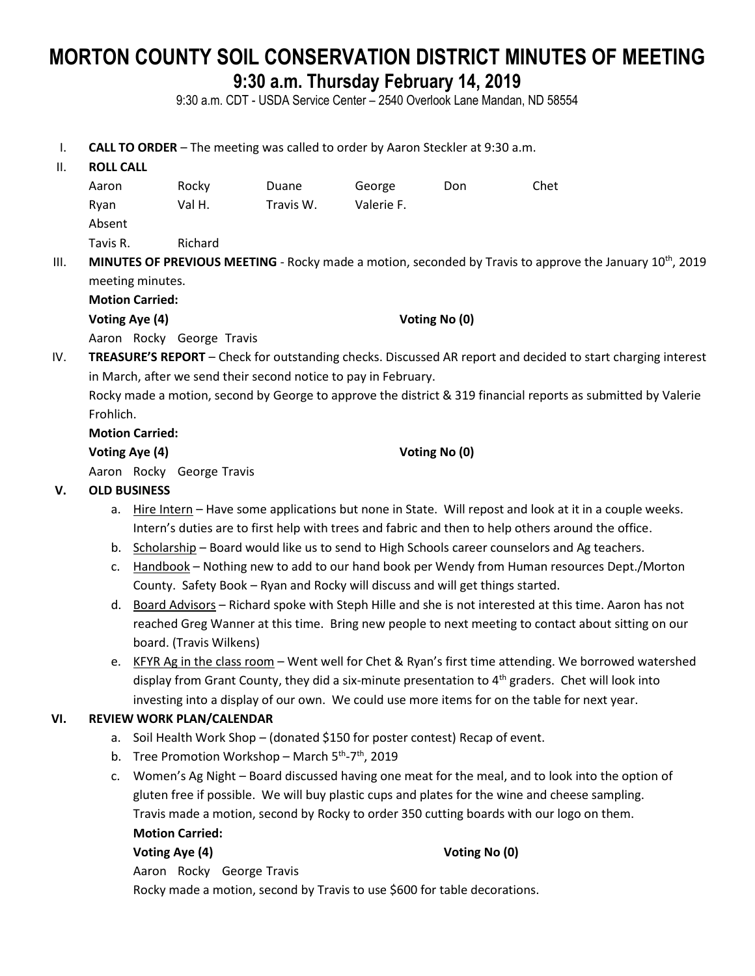# **MORTON COUNTY SOIL CONSERVATION DISTRICT MINUTES OF MEETING 9:30 a.m. Thursday February 14, 2019**

9:30 a.m. CDT - USDA Service Center – 2540 Overlook Lane Mandan, ND 58554

I. **CALL TO ORDER** – The meeting was called to order by Aaron Steckler at 9:30 a.m.

| Η. | <b>ROLL CALL</b>                                                                      |         |           |            |     |      |  |  |
|----|---------------------------------------------------------------------------------------|---------|-----------|------------|-----|------|--|--|
|    | Aaron                                                                                 | Rocky   | Duane     | George     | Don | Chet |  |  |
|    | Ryan                                                                                  | Val H.  | Travis W. | Valerie F. |     |      |  |  |
|    | Absent                                                                                |         |           |            |     |      |  |  |
|    | Tavis R.                                                                              | Richard |           |            |     |      |  |  |
|    | <b>MINUITEC OF DREVIOUS MEETING</b> Recky made a motion seconded by Travis to annrove |         |           |            |     |      |  |  |

III. MINUTES OF PREVIOUS MEETING - Rocky made a motion, seconded by Travis to approve the January 10<sup>th</sup>, 2019 meeting minutes.

**Motion Carried:**

**Voting Aye (4) Voting No (0)**

Aaron Rocky George Travis

IV. **TREASURE'S REPORT** – Check for outstanding checks. Discussed AR report and decided to start charging interest in March, after we send their second notice to pay in February.

Rocky made a motion, second by George to approve the district & 319 financial reports as submitted by Valerie Frohlich.

### **Motion Carried:**

**Voting Aye (4) Voting No (0)**

Aaron Rocky George Travis

# **V. OLD BUSINESS**

- a. Hire Intern Have some applications but none in State. Will repost and look at it in a couple weeks. Intern's duties are to first help with trees and fabric and then to help others around the office.
- b. Scholarship Board would like us to send to High Schools career counselors and Ag teachers.
- c. Handbook Nothing new to add to our hand book per Wendy from Human resources Dept./Morton County. Safety Book – Ryan and Rocky will discuss and will get things started.
- d. Board Advisors Richard spoke with Steph Hille and she is not interested at this time. Aaron has not reached Greg Wanner at this time. Bring new people to next meeting to contact about sitting on our board. (Travis Wilkens)
- e. KFYR Ag in the class room Went well for Chet & Ryan's first time attending. We borrowed watershed display from Grant County, they did a six-minute presentation to 4<sup>th</sup> graders. Chet will look into investing into a display of our own. We could use more items for on the table for next year.

# **VI. REVIEW WORK PLAN/CALENDAR**

- a. Soil Health Work Shop (donated \$150 for poster contest) Recap of event.
- b. Tree Promotion Workshop March 5<sup>th</sup>-7<sup>th</sup>, 2019
- c. Women's Ag Night Board discussed having one meat for the meal, and to look into the option of gluten free if possible. We will buy plastic cups and plates for the wine and cheese sampling. Travis made a motion, second by Rocky to order 350 cutting boards with our logo on them. **Motion Carried:**

### **Voting Aye (4) Voting No (0)**

Aaron Rocky George Travis

Rocky made a motion, second by Travis to use \$600 for table decorations.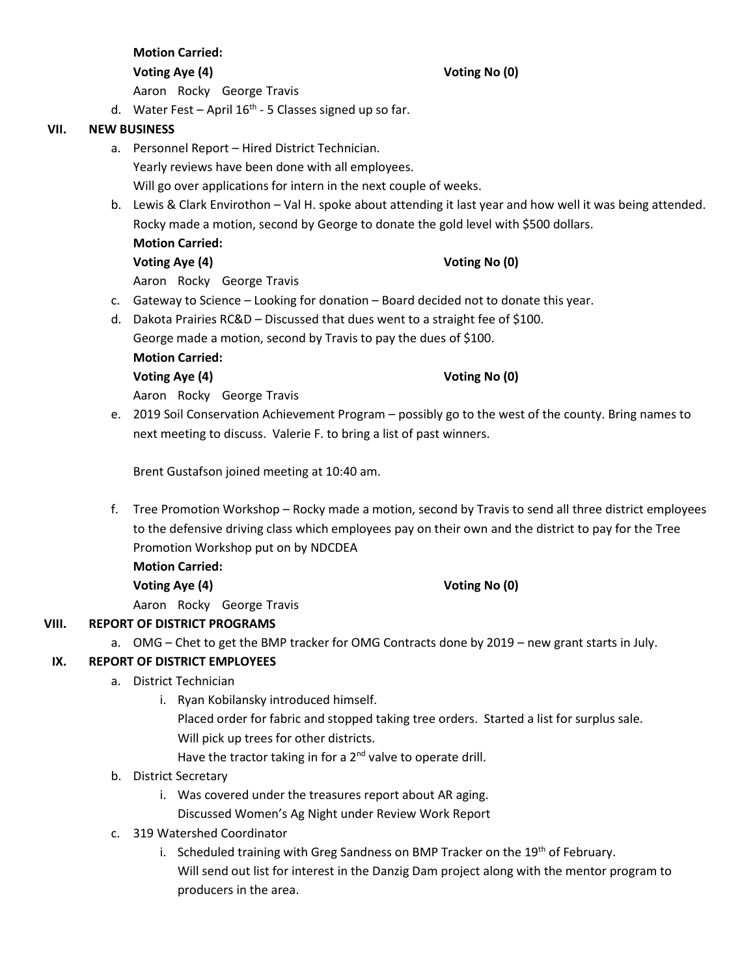|      |    | Aaron Rocky George Travis                                                          |                                                                                                             |  |  |  |
|------|----|------------------------------------------------------------------------------------|-------------------------------------------------------------------------------------------------------------|--|--|--|
|      |    | d. Water Fest – April $16th$ - 5 Classes signed up so far.                         |                                                                                                             |  |  |  |
| VII. |    | <b>NEW BUSINESS</b>                                                                |                                                                                                             |  |  |  |
|      |    | a. Personnel Report - Hired District Technician.                                   |                                                                                                             |  |  |  |
|      |    | Yearly reviews have been done with all employees.                                  |                                                                                                             |  |  |  |
|      |    |                                                                                    | Will go over applications for intern in the next couple of weeks.                                           |  |  |  |
|      |    |                                                                                    | b. Lewis & Clark Envirothon - Val H. spoke about attending it last year and how well it was being attended. |  |  |  |
|      |    |                                                                                    | Rocky made a motion, second by George to donate the gold level with \$500 dollars.                          |  |  |  |
|      |    | <b>Motion Carried:</b>                                                             |                                                                                                             |  |  |  |
|      |    | Voting Aye (4)                                                                     | Voting No (0)                                                                                               |  |  |  |
|      |    | Aaron Rocky George Travis                                                          |                                                                                                             |  |  |  |
|      | c. | Gateway to Science - Looking for donation - Board decided not to donate this year. |                                                                                                             |  |  |  |
|      | d. | Dakota Prairies RC&D - Discussed that dues went to a straight fee of \$100.        |                                                                                                             |  |  |  |
|      |    | George made a motion, second by Travis to pay the dues of \$100.                   |                                                                                                             |  |  |  |
|      |    | <b>Motion Carried:</b>                                                             |                                                                                                             |  |  |  |
|      |    | Voting Aye (4)                                                                     | Voting No (0)                                                                                               |  |  |  |
|      |    |                                                                                    |                                                                                                             |  |  |  |

**Voting Aye (4) Voting No (0)**

Aaron Rocky George Travis

e. 2019 Soil Conservation Achievement Program – possibly go to the west of the county. Bring names to next meeting to discuss. Valerie F. to bring a list of past winners.

Brent Gustafson joined meeting at 10:40 am.

f. Tree Promotion Workshop – Rocky made a motion, second by Travis to send all three district employees to the defensive driving class which employees pay on their own and the district to pay for the Tree Promotion Workshop put on by NDCDEA

**Motion Carried: Voting Aye (4) Voting No (0)**

**Motion Carried:**

Aaron Rocky George Travis

# **VIII. REPORT OF DISTRICT PROGRAMS**

a. OMG – Chet to get the BMP tracker for OMG Contracts done by 2019 – new grant starts in July.

# **IX. REPORT OF DISTRICT EMPLOYEES**

- a. District Technician
	- i. Ryan Kobilansky introduced himself.

Placed order for fabric and stopped taking tree orders. Started a list for surplus sale. Will pick up trees for other districts.

Have the tractor taking in for a  $2^{nd}$  valve to operate drill.

- b. District Secretary
	- i. Was covered under the treasures report about AR aging.

Discussed Women's Ag Night under Review Work Report

- c. 319 Watershed Coordinator
	- i. Scheduled training with Greg Sandness on BMP Tracker on the  $19<sup>th</sup>$  of February. Will send out list for interest in the Danzig Dam project along with the mentor program to producers in the area.